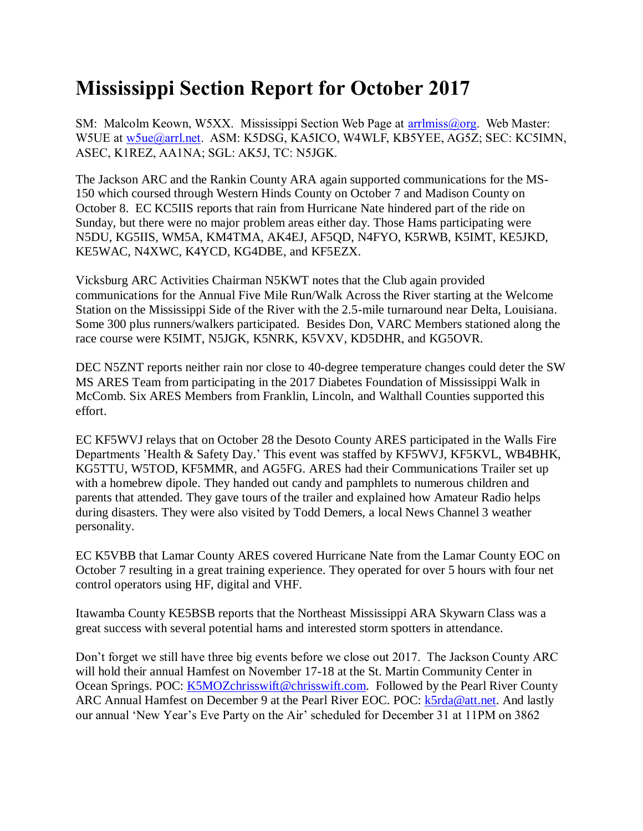## **Mississippi Section Report for October 2017**

SM: Malcolm Keown, W5XX. Mississippi Section Web Page at [arrlmiss@org.](mailto:arrlmiss@org) Web Master: W5UE at w<sub>5ue</sub>@arrl.net. ASM: K5DSG, KA5ICO, W4WLF, KB5YEE, AG5Z; SEC: KC5IMN, ASEC, K1REZ, AA1NA; SGL: AK5J, TC: N5JGK.

The Jackson ARC and the Rankin County ARA again supported communications for the MS-150 which coursed through Western Hinds County on October 7 and Madison County on October 8. EC KC5IIS reports that rain from Hurricane Nate hindered part of the ride on Sunday, but there were no major problem areas either day. Those Hams participating were N5DU, KG5IIS, WM5A, KM4TMA, AK4EJ, AF5QD, N4FYO, K5RWB, K5IMT, KE5JKD, KE5WAC, N4XWC, K4YCD, KG4DBE, and KF5EZX.

Vicksburg ARC Activities Chairman N5KWT notes that the Club again provided communications for the Annual Five Mile Run/Walk Across the River starting at the Welcome Station on the Mississippi Side of the River with the 2.5-mile turnaround near Delta, Louisiana. Some 300 plus runners/walkers participated. Besides Don, VARC Members stationed along the race course were K5IMT, N5JGK, K5NRK, K5VXV, KD5DHR, and KG5OVR.

DEC N5ZNT reports neither rain nor close to 40-degree temperature changes could deter the SW MS ARES Team from participating in the 2017 Diabetes Foundation of Mississippi Walk in McComb. Six ARES Members from Franklin, Lincoln, and Walthall Counties supported this effort.

EC KF5WVJ relays that on October 28 the Desoto County ARES participated in the Walls Fire Departments 'Health & Safety Day.' This event was staffed by KF5WVJ, KF5KVL, WB4BHK, KG5TTU, W5TOD, KF5MMR, and AG5FG. ARES had their Communications Trailer set up with a homebrew dipole. They handed out candy and pamphlets to numerous children and parents that attended. They gave tours of the trailer and explained how Amateur Radio helps during disasters. They were also visited by Todd Demers, a local News Channel 3 weather personality.

EC K5VBB that Lamar County ARES covered Hurricane Nate from the Lamar County EOC on October 7 resulting in a great training experience. They operated for over 5 hours with four net control operators using HF, digital and VHF.

Itawamba County KE5BSB reports that the Northeast Mississippi ARA Skywarn Class was a great success with several potential hams and interested storm spotters in attendance.

Don't forget we still have three big events before we close out 2017. The Jackson County ARC will hold their annual Hamfest on November 17-18 at the St. Martin Community Center in Ocean Springs. POC: [K5MOZchrisswift@chrisswift.com.](mailto:K5MOZchrisswift@chrisswift.com) Followed by the Pearl River County ARC Annual Hamfest on December 9 at the Pearl River EOC. POC:  $k5rda@att.net$ . And lastly our annual 'New Year's Eve Party on the Air' scheduled for December 31 at 11PM on 3862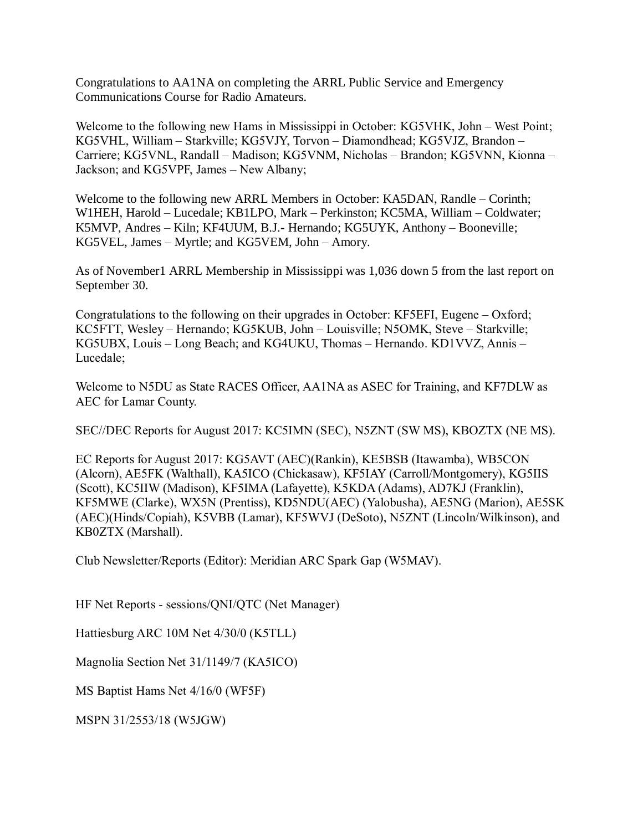Congratulations to AA1NA on completing the ARRL Public Service and Emergency Communications Course for Radio Amateurs.

Welcome to the following new Hams in Mississippi in October: KG5VHK, John – West Point; KG5VHL, William – Starkville; KG5VJY, Torvon – Diamondhead; KG5VJZ, Brandon – Carriere; KG5VNL, Randall – Madison; KG5VNM, Nicholas – Brandon; KG5VNN, Kionna – Jackson; and KG5VPF, James – New Albany;

Welcome to the following new ARRL Members in October: KA5DAN, Randle – Corinth; W1HEH, Harold – Lucedale; KB1LPO, Mark – Perkinston; KC5MA, William – Coldwater; K5MVP, Andres – Kiln; KF4UUM, B.J.- Hernando; KG5UYK, Anthony – Booneville; KG5VEL, James – Myrtle; and KG5VEM, John – Amory.

As of November1 ARRL Membership in Mississippi was 1,036 down 5 from the last report on September 30.

Congratulations to the following on their upgrades in October: KF5EFI, Eugene – Oxford; KC5FTT, Wesley – Hernando; KG5KUB, John – Louisville; N5OMK, Steve – Starkville; KG5UBX, Louis – Long Beach; and KG4UKU, Thomas – Hernando. KD1VVZ, Annis – Lucedale;

Welcome to N5DU as State RACES Officer, AA1NA as ASEC for Training, and KF7DLW as AEC for Lamar County.

SEC//DEC Reports for August 2017: KC5IMN (SEC), N5ZNT (SW MS), KBOZTX (NE MS).

EC Reports for August 2017: KG5AVT (AEC)(Rankin), KE5BSB (Itawamba), WB5CON (Alcorn), AE5FK (Walthall), KA5ICO (Chickasaw), KF5IAY (Carroll/Montgomery), KG5IIS (Scott), KC5IIW (Madison), KF5IMA (Lafayette), K5KDA (Adams), AD7KJ (Franklin), KF5MWE (Clarke), WX5N (Prentiss), KD5NDU(AEC) (Yalobusha), AE5NG (Marion), AE5SK (AEC)(Hinds/Copiah), K5VBB (Lamar), KF5WVJ (DeSoto), N5ZNT (Lincoln/Wilkinson), and KB0ZTX (Marshall).

Club Newsletter/Reports (Editor): Meridian ARC Spark Gap (W5MAV).

HF Net Reports - sessions/QNI/QTC (Net Manager)

Hattiesburg ARC 10M Net 4/30/0 (K5TLL)

Magnolia Section Net 31/1149/7 (KA5ICO)

MS Baptist Hams Net 4/16/0 (WF5F)

MSPN 31/2553/18 (W5JGW)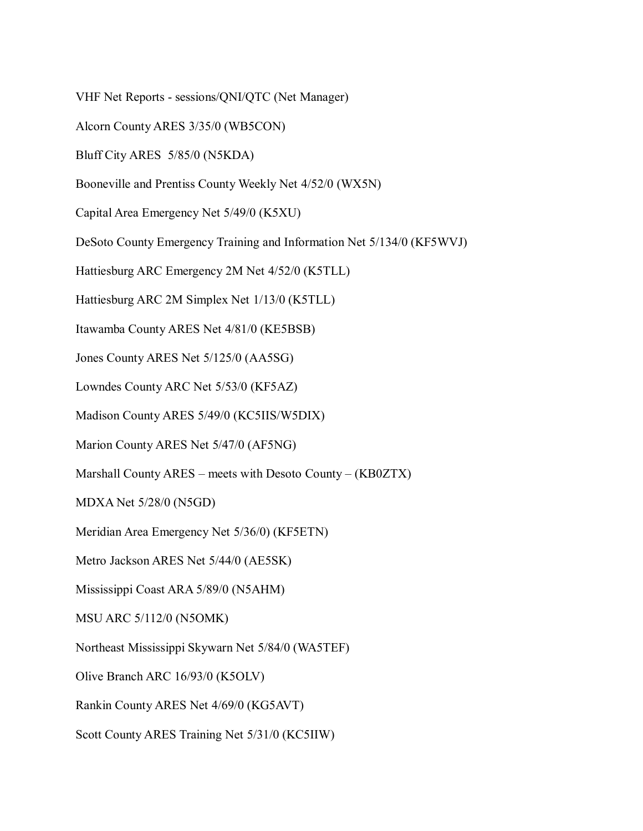VHF Net Reports - sessions/QNI/QTC (Net Manager)

Alcorn County ARES 3/35/0 (WB5CON)

Bluff City ARES 5/85/0 (N5KDA)

Booneville and Prentiss County Weekly Net 4/52/0 (WX5N)

Capital Area Emergency Net 5/49/0 (K5XU)

DeSoto County Emergency Training and Information Net 5/134/0 (KF5WVJ)

Hattiesburg ARC Emergency 2M Net 4/52/0 (K5TLL)

Hattiesburg ARC 2M Simplex Net 1/13/0 (K5TLL)

Itawamba County ARES Net 4/81/0 (KE5BSB)

Jones County ARES Net 5/125/0 (AA5SG)

Lowndes County ARC Net 5/53/0 (KF5AZ)

Madison County ARES 5/49/0 (KC5IIS/W5DIX)

Marion County ARES Net 5/47/0 (AF5NG)

Marshall County ARES – meets with Desoto County – (KB0ZTX)

MDXA Net 5/28/0 (N5GD)

Meridian Area Emergency Net 5/36/0) (KF5ETN)

Metro Jackson ARES Net 5/44/0 (AE5SK)

Mississippi Coast ARA 5/89/0 (N5AHM)

MSU ARC 5/112/0 (N5OMK)

Northeast Mississippi Skywarn Net 5/84/0 (WA5TEF)

Olive Branch ARC 16/93/0 (K5OLV)

Rankin County ARES Net 4/69/0 (KG5AVT)

Scott County ARES Training Net 5/31/0 (KC5IIW)